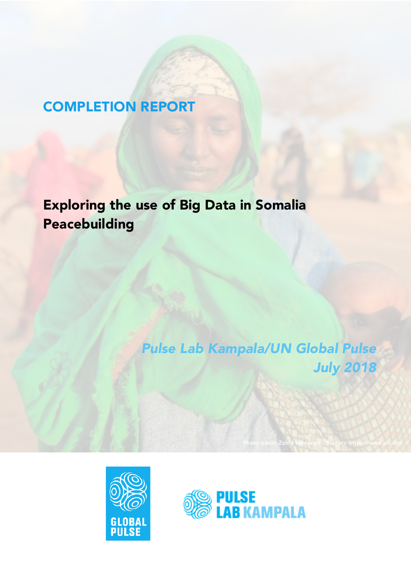# COMPLETION REPORT

Exploring the use of Big Data in Somalia Peacebuilding

> *Pulse Lab Kampala/UN Global Pulse July 2018*

> > Photo credit: Zohra Bensemra / Reuters: https://www.pri.org



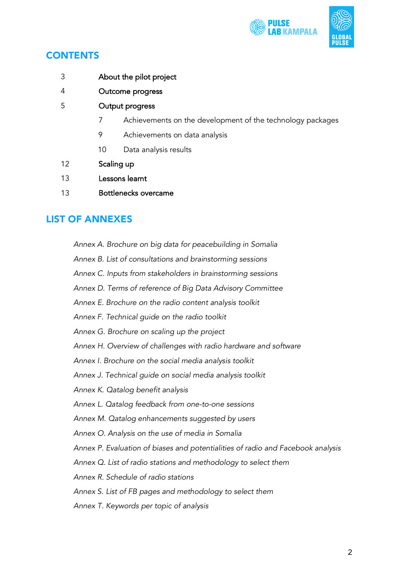

- 3 About the pilot project
- 4 Outcome progress
- 5 Output progress
	- 7 Achievements on the development of the technology packages
	- 9 Achievements on data analysis
	- 10 Data analysis results
- 12 Scaling up
- 13 Lessons learnt
- 13 Bottlenecks overcame

## LIST OF ANNEXES

*Annex A. Brochure on big data for peacebuilding in Somalia*

*Annex B. List of consultations and brainstorming sessions*

*Annex C. Inputs from stakeholders in brainstorming sessions*

- *Annex D. Terms of reference of Big Data Advisory Committee*
- *Annex E. Brochure on the radio content analysis toolkit*

*Annex F. Technical guide on the radio toolkit*

- *Annex G. Brochure on scaling up the project*
- *Annex H. Overview of challenges with radio hardware and software*

*Annex I. Brochure on the social media analysis toolkit*

*Annex J. Technical guide on social media analysis toolkit*

- *Annex K. Qatalog benefit analysis*
- *Annex L. Qatalog feedback from one-to-one sessions*

*Annex M. Qatalog enhancements suggested by users*

*Annex O. Analysis on the use of media in Somalia*

*Annex P. Evaluation of biases and potentialities of radio and Facebook analysis*

*Annex Q. List of radio stations and methodology to select them*

*Annex R. Schedule of radio stations*

### *Annex S. List of FB pages and methodology to select them*

*Annex T. Keywords per topic of analysis*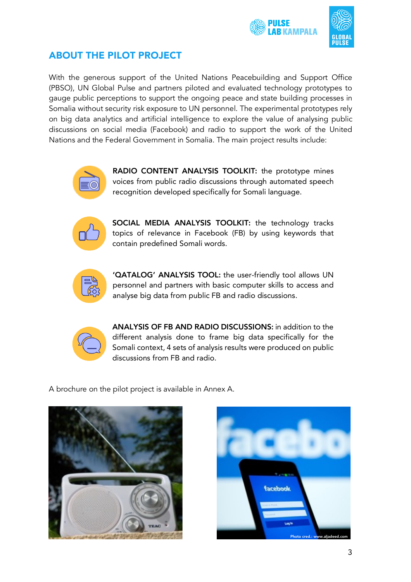



## ABOUT THE PILOT PROJECT

With the generous support of the United Nations Peacebuilding and Support Office (PBSO), UN Global Pulse and partners piloted and evaluated technology prototypes to gauge public perceptions to support the ongoing peace and state building processes in Somalia without security risk exposure to UN personnel. The experimental prototypes rely on big data analytics and artificial intelligence to explore the value of analysing public discussions on social media (Facebook) and radio to support the work of the United Nations and the Federal Government in Somalia. The main project results include:



RADIO CONTENT ANALYSIS TOOLKIT: the prototype mines voices from public radio discussions through automated speech recognition developed specifically for Somali language.



SOCIAL MEDIA ANALYSIS TOOLKIT: the technology tracks topics of relevance in Facebook (FB) by using keywords that contain predefined Somali words.



'QATALOG' ANALYSIS TOOL: the user-friendly tool allows UN personnel and partners with basic computer skills to access and analyse big data from public FB and radio discussions.



ANALYSIS OF FB AND RADIO DISCUSSIONS: in addition to the different analysis done to frame big data specifically for the Somali context, 4 sets of analysis results were produced on public discussions from FB and radio.

A brochure on the pilot project is available in Annex A.



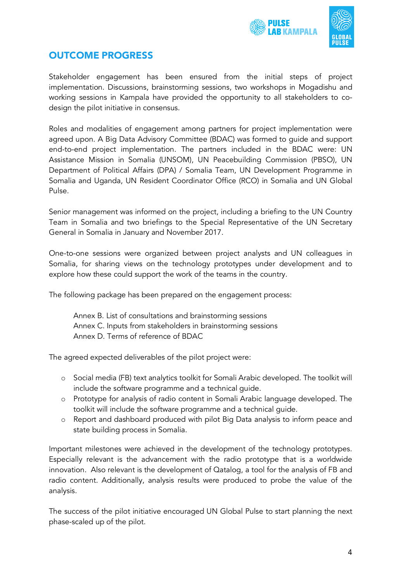



## OUTCOME PROGRESS

Stakeholder engagement has been ensured from the initial steps of project implementation. Discussions, brainstorming sessions, two workshops in Mogadishu and working sessions in Kampala have provided the opportunity to all stakeholders to codesign the pilot initiative in consensus.

Roles and modalities of engagement among partners for project implementation were agreed upon. A Big Data Advisory Committee (BDAC) was formed to guide and support end-to-end project implementation. The partners included in the BDAC were: UN Assistance Mission in Somalia (UNSOM), UN Peacebuilding Commission (PBSO), UN Department of Political Affairs (DPA) / Somalia Team, UN Development Programme in Somalia and Uganda, UN Resident Coordinator Office (RCO) in Somalia and UN Global Pulse.

Senior management was informed on the project, including a briefing to the UN Country Team in Somalia and two briefings to the Special Representative of the UN Secretary General in Somalia in January and November 2017.

One-to-one sessions were organized between project analysts and UN colleagues in Somalia, for sharing views on the technology prototypes under development and to explore how these could support the work of the teams in the country.

The following package has been prepared on the engagement process:

Annex B. List of consultations and brainstorming sessions Annex C. Inputs from stakeholders in brainstorming sessions Annex D. Terms of reference of BDAC

The agreed expected deliverables of the pilot project were:

- o Social media (FB) text analytics toolkit for Somali Arabic developed. The toolkit will include the software programme and a technical guide.
- o Prototype for analysis of radio content in Somali Arabic language developed. The toolkit will include the software programme and a technical guide.
- o Report and dashboard produced with pilot Big Data analysis to inform peace and state building process in Somalia.

Important milestones were achieved in the development of the technology prototypes. Especially relevant is the advancement with the radio prototype that is a worldwide innovation. Also relevant is the development of Qatalog, a tool for the analysis of FB and radio content. Additionally, analysis results were produced to probe the value of the analysis.

The success of the pilot initiative encouraged UN Global Pulse to start planning the next phase-scaled up of the pilot.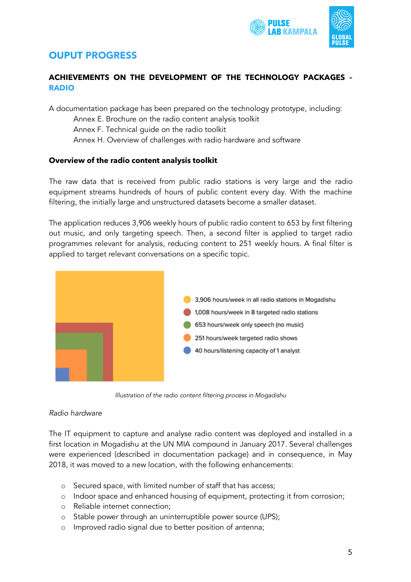

## OUPUT PROGRESS

## **ACHIEVEMENTS ON THE DEVELOPMENT OF THE TECHNOLOGY PACKAGES – RADIO**

A documentation package has been prepared on the technology prototype, including: Annex E. Brochure on the radio content analysis toolkit Annex F. Technical guide on the radio toolkit Annex H. Overview of challenges with radio hardware and software

### **Overview of the radio content analysis toolkit**

The raw data that is received from public radio stations is very large and the radio equipment streams hundreds of hours of public content every day. With the machine filtering, the initially large and unstructured datasets become a smaller dataset.

The application reduces 3,906 weekly hours of public radio content to 653 by first filtering out music, and only targeting speech. Then, a second filter is applied to target radio programmes relevant for analysis, reducing content to 251 weekly hours. A final filter is applied to target relevant conversations on a specific topic.



*Illustration of the radio content filtering process in Mogadishu*

### *Radio hardware*

The IT equipment to capture and analyse radio content was deployed and installed in a first location in Mogadishu at the UN MIA compound in January 2017. Several challenges were experienced (described in documentation package) and in consequence, in May 2018, it was moved to a new location, with the following enhancements:

- o Secured space, with limited number of staff that has access;
- o Indoor space and enhanced housing of equipment, protecting it from corrosion;
- o Reliable internet connection;
- o Stable power through an uninterruptible power source (UPS);
- o Improved radio signal due to better position of antenna;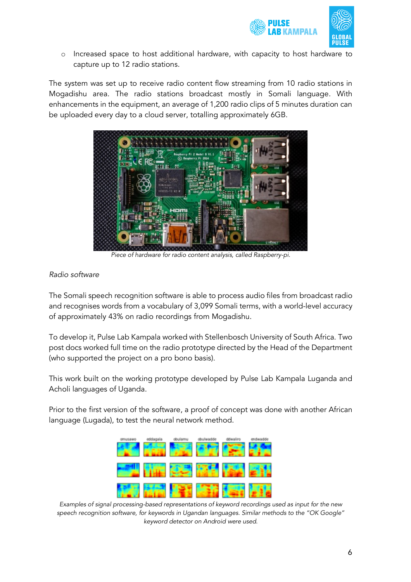



o Increased space to host additional hardware, with capacity to host hardware to capture up to 12 radio stations.

The system was set up to receive radio content flow streaming from 10 radio stations in Mogadishu area. The radio stations broadcast mostly in Somali language. With enhancements in the equipment, an average of 1,200 radio clips of 5 minutes duration can be uploaded every day to a cloud server, totalling approximately 6GB.



*Piece of hardware for radio content analysis, called Raspberry-pi.*

## *Radio software*

The Somali speech recognition software is able to process audio files from broadcast radio and recognises words from a vocabulary of 3,099 Somali terms, with a world-level accuracy of approximately 43% on radio recordings from Mogadishu.

To develop it, Pulse Lab Kampala worked with Stellenbosch University of South Africa. Two post docs worked full time on the radio prototype directed by the Head of the Department (who supported the project on a pro bono basis).

This work built on the working prototype developed by Pulse Lab Kampala Luganda and Acholi languages of Uganda.

Prior to the first version of the software, a proof of concept was done with another African language (Lugada), to test the neural network method.



*Examples of signal processing-based representations of keyword recordings used as input for the new speech recognition software, for keywords in Ugandan languages. Similar methods to the "OK Google" keyword detector on Android were used.*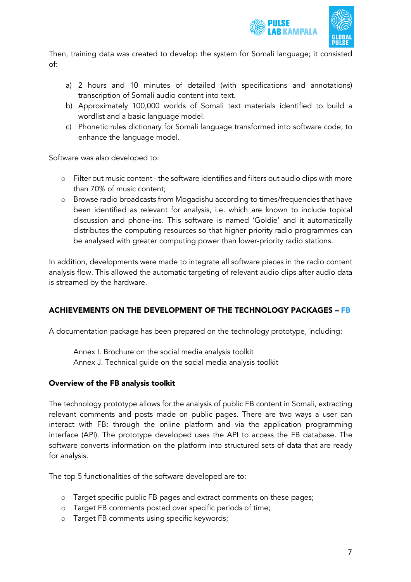



Then, training data was created to develop the system for Somali language; it consisted of:

- a) 2 hours and 10 minutes of detailed (with specifications and annotations) transcription of Somali audio content into text.
- b) Approximately 100,000 worlds of Somali text materials identified to build a wordlist and a basic language model.
- c) Phonetic rules dictionary for Somali language transformed into software code, to enhance the language model.

Software was also developed to:

- o Filter out music content the software identifies and filters out audio clips with more than 70% of music content;
- o Browse radio broadcasts from Mogadishu according to times/frequencies that have been identified as relevant for analysis, i.e. which are known to include topical discussion and phone-ins. This software is named 'Goldie' and it automatically distributes the computing resources so that higher priority radio programmes can be analysed with greater computing power than lower-priority radio stations.

In addition, developments were made to integrate all software pieces in the radio content analysis flow. This allowed the automatic targeting of relevant audio clips after audio data is streamed by the hardware.

## ACHIEVEMENTS ON THE DEVELOPMENT OF THE TECHNOLOGY PACKAGES – FB

A documentation package has been prepared on the technology prototype, including:

Annex I. Brochure on the social media analysis toolkit Annex J. Technical guide on the social media analysis toolkit

## Overview of the FB analysis toolkit

The technology prototype allows for the analysis of public FB content in Somali, extracting relevant comments and posts made on public pages. There are two ways a user can interact with FB: through the online platform and via the application programming interface (API). The prototype developed uses the API to access the FB database. The software converts information on the platform into structured sets of data that are ready for analysis.

The top 5 functionalities of the software developed are to:

- o Target specific public FB pages and extract comments on these pages;
- o Target FB comments posted over specific periods of time;
- o Target FB comments using specific keywords;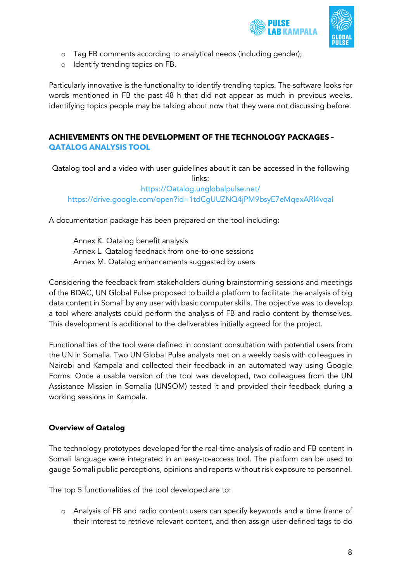



- o Tag FB comments according to analytical needs (including gender);
- o Identify trending topics on FB.

Particularly innovative is the functionality to identify trending topics. The software looks for words mentioned in FB the past 48 h that did not appear as much in previous weeks, identifying topics people may be talking about now that they were not discussing before.

## **ACHIEVEMENTS ON THE DEVELOPMENT OF THE TECHNOLOGY PACKAGES – QATALOG ANALYSIS TOOL**

Qatalog tool and a video with user guidelines about it can be accessed in the following links:

https://Qatalog.unglobalpulse.net/ https://drive.google.com/open?id=1tdCgUUZNQ4jPM9bsyE7eMqexARl4vqal

A documentation package has been prepared on the tool including:

Annex K. Qatalog benefit analysis Annex L. Qatalog feednack from one-to-one sessions Annex M. Qatalog enhancements suggested by users

Considering the feedback from stakeholders during brainstorming sessions and meetings of the BDAC, UN Global Pulse proposed to build a platform to facilitate the analysis of big data content in Somali by any user with basic computer skills. The objective was to develop a tool where analysts could perform the analysis of FB and radio content by themselves. This development is additional to the deliverables initially agreed for the project.

Functionalities of the tool were defined in constant consultation with potential users from the UN in Somalia. Two UN Global Pulse analysts met on a weekly basis with colleagues in Nairobi and Kampala and collected their feedback in an automated way using Google Forms. Once a usable version of the tool was developed, two colleagues from the UN Assistance Mission in Somalia (UNSOM) tested it and provided their feedback during a working sessions in Kampala.

## Overview of Qatalog

The technology prototypes developed for the real-time analysis of radio and FB content in Somali language were integrated in an easy-to-access tool. The platform can be used to gauge Somali public perceptions, opinions and reports without risk exposure to personnel.

The top 5 functionalities of the tool developed are to:

o Analysis of FB and radio content: users can specify keywords and a time frame of their interest to retrieve relevant content, and then assign user-defined tags to do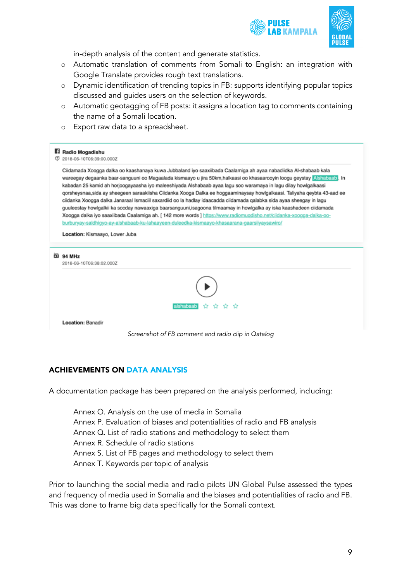



in-depth analysis of the content and generate statistics.

- o Automatic translation of comments from Somali to English: an integration with Google Translate provides rough text translations.
- o Dynamic identification of trending topics in FB: supports identifying popular topics discussed and guides users on the selection of keywords.
- o Automatic geotagging of FB posts: it assigns a location tag to comments containing the name of a Somali location.
- o Export raw data to a spreadsheet.

#### Ri Radio Mogadishu

(7) 2018-06-10T06:39:00 000Z

Ciidamada Xoogga dalka oo kaashanaya kuwa Jubbaland iyo saaxiibada Caalamiga ah ayaa nabadiidka Al-shabaab kala wareegay degaanka baar-sanguuni oo Magaalada kismaayo u jira 50km,halkaasi oo khasaarooyin loogu geystay Alshabaab, In kabadan 25 kamid ah horjoogayaasha iyo maleeshiyada Alshabaab ayaa lagu soo waramaya in lagu dilay howlgalkaasi qorsheysnaa,sida ay sheegeen saraakiisha Ciidanka Xooga Dalka ee hoggaaminaysay howlgalkaasi. Taliyaha qeybta 43-aad ee ciidanka Xoogga dalka Janaraal Ismaciil saxardiid oo la hadlay idaacadda ciidamada qalabka sida ayaa sheegay in lagu guuleestay howlgalkii ka socday nawaaxiga baarsanguuni,isagoona tilmaamay in howlgalka ay iska kaashadeen ciidamada Xoogga dalka iyo saaxiibada Caalamiga ah. [ 142 more words ] https://www.radiomuqdisho.net/ciidanka-xoogga-dalka-ooburburyay-saldhigyo-ay-alshabaab-ku-lahaayeen-duleedka-kismaayo-khasaarana-gaarsiiyaysawiro/

Location: Kismaayo, Lower Juba

| œ | 94 MHz<br>2018-06-10T06:38:02.000Z |
|---|------------------------------------|
|   |                                    |
|   | alshabaab ☆ ☆ ☆ ☆                  |
|   | Location: Banadir                  |
|   |                                    |

*Screenshot of FB comment and radio clip in Qatalog*

## ACHIEVEMENTS ON DATA ANALYSIS

A documentation package has been prepared on the analysis performed, including:

Annex O. Analysis on the use of media in Somalia Annex P. Evaluation of biases and potentialities of radio and FB analysis Annex Q. List of radio stations and methodology to select them Annex R. Schedule of radio stations Annex S. List of FB pages and methodology to select them Annex T. Keywords per topic of analysis

Prior to launching the social media and radio pilots UN Global Pulse assessed the types and frequency of media used in Somalia and the biases and potentialities of radio and FB. This was done to frame big data specifically for the Somali context.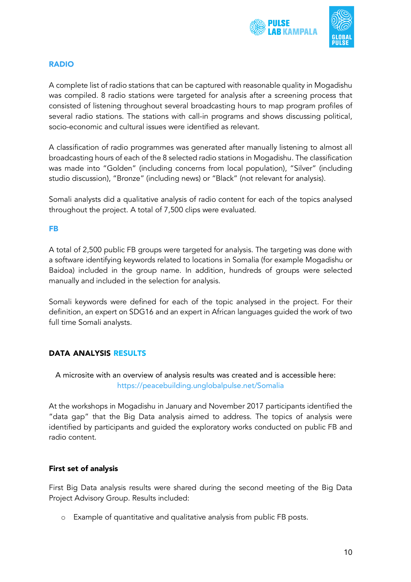



### RADIO

A complete list of radio stations that can be captured with reasonable quality in Mogadishu was compiled. 8 radio stations were targeted for analysis after a screening process that consisted of listening throughout several broadcasting hours to map program profiles of several radio stations. The stations with call-in programs and shows discussing political, socio-economic and cultural issues were identified as relevant.

A classification of radio programmes was generated after manually listening to almost all broadcasting hours of each of the 8 selected radio stations in Mogadishu. The classification was made into "Golden" (including concerns from local population), "Silver" (including studio discussion), "Bronze" (including news) or "Black" (not relevant for analysis).

Somali analysts did a qualitative analysis of radio content for each of the topics analysed throughout the project. A total of 7,500 clips were evaluated.

## FB

A total of 2,500 public FB groups were targeted for analysis. The targeting was done with a software identifying keywords related to locations in Somalia (for example Mogadishu or Baidoa) included in the group name. In addition, hundreds of groups were selected manually and included in the selection for analysis.

Somali keywords were defined for each of the topic analysed in the project. For their definition, an expert on SDG16 and an expert in African languages guided the work of two full time Somali analysts.

## DATA ANALYSIS RESULTS

A microsite with an overview of analysis results was created and is accessible here: https://peacebuilding.unglobalpulse.net/Somalia

At the workshops in Mogadishu in January and November 2017 participants identified the "data gap" that the Big Data analysis aimed to address. The topics of analysis were identified by participants and guided the exploratory works conducted on public FB and radio content.

### First set of analysis

First Big Data analysis results were shared during the second meeting of the Big Data Project Advisory Group. Results included:

o Example of quantitative and qualitative analysis from public FB posts.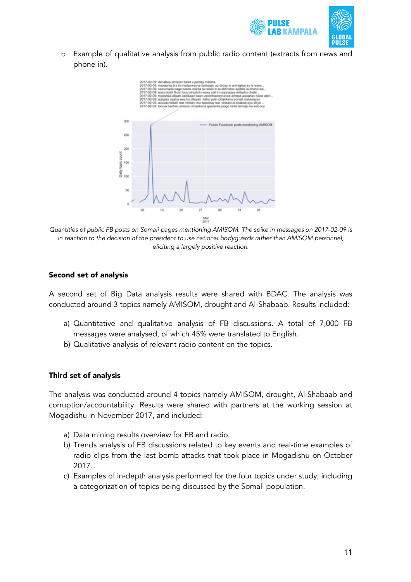



o Example of qualitative analysis from public radio content (extracts from news and phone in).



*Quantities of public FB posts on Somali pages mentioning AMISOM. The spike in messages on 2017-02-09 is in reaction to the decision of the president to use national bodyguards rather than AMISOM personnel, eliciting a largely positive reaction.*

### Second set of analysis

A second set of Big Data analysis results were shared with BDAC. The analysis was conducted around 3 topics namely AMISOM, drought and Al-Shabaab. Results included:

- a) Quantitative and qualitative analysis of FB discussions. A total of 7,000 FB messages were analysed, of which 45% were translated to English.
- b) Qualitative analysis of relevant radio content on the topics.

## Third set of analysis

The analysis was conducted around 4 topics namely AMISOM, drought, Al-Shabaab and corruption/accountability. Results were shared with partners at the working session at Mogadishu in November 2017, and included:

- a) Data mining results overview for FB and radio.
- b) Trends analysis of FB discussions related to key events and real-time examples of radio clips from the last bomb attacks that took place in Mogadishu on October 2017.
- c) Examples of in-depth analysis performed for the four topics under study, including a categorization of topics being discussed by the Somali population.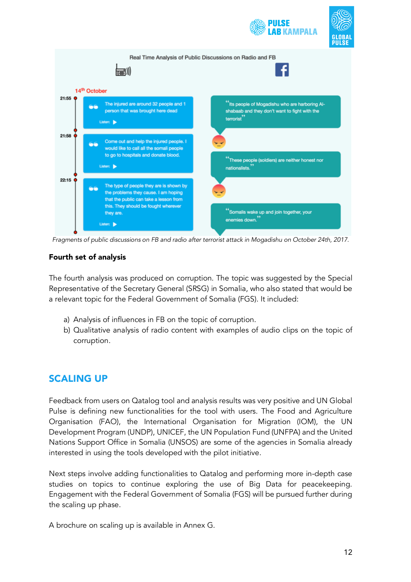

*Fragments of public discussions on FB and radio after terrorist attack in Mogadishu on October 24th, 2017.*

## Fourth set of analysis

The fourth analysis was produced on corruption. The topic was suggested by the Special Representative of the Secretary General (SRSG) in Somalia, who also stated that would be a relevant topic for the Federal Government of Somalia (FGS). It included:

- a) Analysis of influences in FB on the topic of corruption.
- b) Qualitative analysis of radio content with examples of audio clips on the topic of corruption.

## SCALING UP

Feedback from users on Qatalog tool and analysis results was very positive and UN Global Pulse is defining new functionalities for the tool with users. The Food and Agriculture Organisation (FAO), the International Organisation for Migration (IOM), the UN Development Program (UNDP), UNICEF, the UN Population Fund (UNFPA) and the United Nations Support Office in Somalia (UNSOS) are some of the agencies in Somalia already interested in using the tools developed with the pilot initiative.

Next steps involve adding functionalities to Qatalog and performing more in-depth case studies on topics to continue exploring the use of Big Data for peacekeeping. Engagement with the Federal Government of Somalia (FGS) will be pursued further during the scaling up phase.

A brochure on scaling up is available in Annex G.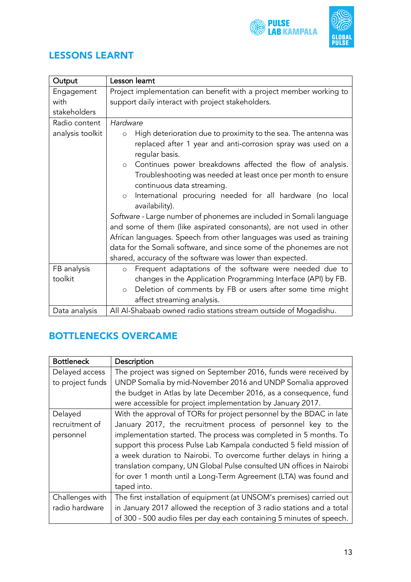



## LESSONS LEARNT

| Output           | Lesson leamt                                                                   |
|------------------|--------------------------------------------------------------------------------|
| Engagement       | Project implementation can benefit with a project member working to            |
| with             | support daily interact with project stakeholders.                              |
| stakeholders     |                                                                                |
| Radio content    | Hardware                                                                       |
| analysis toolkit | High deterioration due to proximity to the sea. The antenna was<br>$\circ$     |
|                  | replaced after 1 year and anti-corrosion spray was used on a<br>regular basis. |
|                  | Continues power breakdowns affected the flow of analysis.<br>$\circ$           |
|                  | Troubleshooting was needed at least once per month to ensure                   |
|                  | continuous data streaming.                                                     |
|                  | International procuring needed for all hardware (no local<br>$\circ$           |
|                  | availability).                                                                 |
|                  | Software - Large number of phonemes are included in Somali language            |
|                  | and some of them (like aspirated consonants), are not used in other            |
|                  | African languages. Speech from other languages was used as training            |
|                  | data for the Somali software, and since some of the phonemes are not           |
|                  | shared, accuracy of the software was lower than expected.                      |
| FB analysis      | Frequent adaptations of the software were needed due to<br>$\circ$             |
| toolkit          | changes in the Application Programming Interface (API) by FB.                  |
|                  | Deletion of comments by FB or users after some time might<br>$\circ$           |
|                  | affect streaming analysis.                                                     |
| Data analysis    | All Al-Shabaab owned radio stations stream outside of Mogadishu.               |

## BOTTLENECKS OVERCAME

| <b>Bottleneck</b> | Description                                                           |
|-------------------|-----------------------------------------------------------------------|
| Delayed access    | The project was signed on September 2016, funds were received by      |
| to project funds  | UNDP Somalia by mid-November 2016 and UNDP Somalia approved           |
|                   | the budget in Atlas by late December 2016, as a consequence, fund     |
|                   | were accessible for project implementation by January 2017.           |
| Delayed           | With the approval of TORs for project personnel by the BDAC in late   |
| recruitment of    | January 2017, the recruitment process of personnel key to the         |
| personnel         | implementation started. The process was completed in 5 months. To     |
|                   | support this process Pulse Lab Kampala conducted 5 field mission of   |
|                   | a week duration to Nairobi. To overcome further delays in hiring a    |
|                   | translation company, UN Global Pulse consulted UN offices in Nairobi  |
|                   | for over 1 month until a Long-Term Agreement (LTA) was found and      |
|                   | taped into.                                                           |
| Challenges with   | The first installation of equipment (at UNSOM's premises) carried out |
| radio hardware    | in January 2017 allowed the reception of 3 radio stations and a total |
|                   | of 300 - 500 audio files per day each containing 5 minutes of speech. |